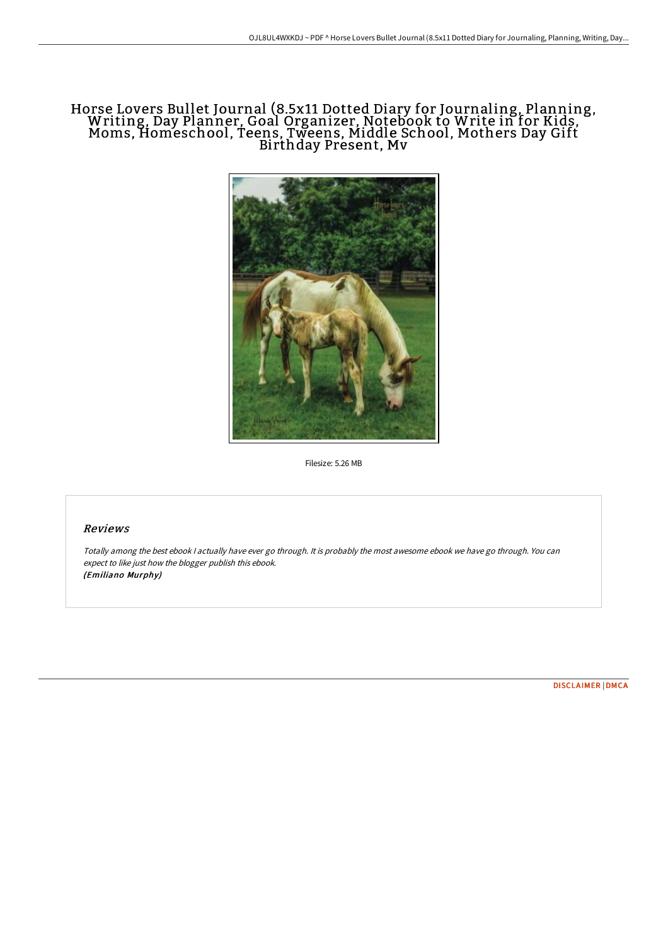# Horse Lovers Bullet Journal (8.5x11 Dotted Diary for Journaling, Planning, Writing, Day Planner, Goal Organizer, Notebook to Write in for Kids, Moms, Homeschool, Teens, Tweens, Middle School, Mothers Day Gift Birthday Present, Mv



Filesize: 5.26 MB

# Reviews

Totally among the best ebook I actually have ever go through. It is probably the most awesome ebook we have go through. You can expect to like just how the blogger publish this ebook. (Emiliano Murphy)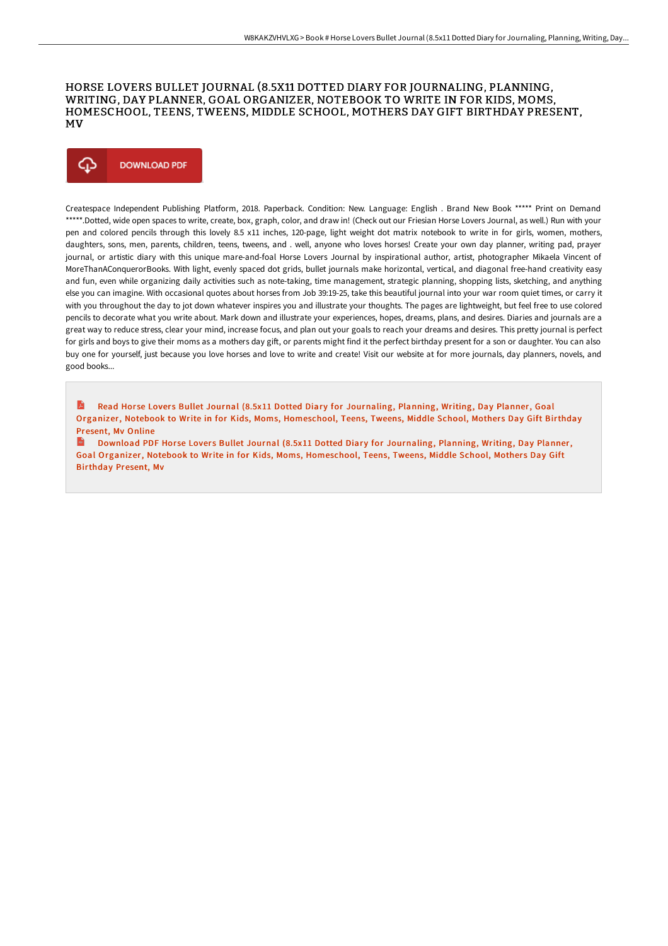## HORSE LOVERS BULLET JOURNAL (8.5X11 DOTTED DIARY FOR JOURNALING, PLANNING, WRITING, DAY PLANNER, GOAL ORGANIZER, NOTEBOOK TO WRITE IN FOR KIDS, MOMS, HOMESCHOOL, TEENS, TWEENS, MIDDLE SCHOOL, MOTHERS DAY GIFT BIRTHDAY PRESENT, MV



Createspace Independent Publishing Platform, 2018. Paperback. Condition: New. Language: English . Brand New Book \*\*\*\*\* Print on Demand \*\*\*\*\*.Dotted, wide open spaces to write, create, box, graph, color, and draw in! (Check out our Friesian Horse Lovers Journal, as well.) Run with your pen and colored pencils through this lovely 8.5 x11 inches, 120-page, light weight dot matrix notebook to write in for girls, women, mothers, daughters, sons, men, parents, children, teens, tweens, and . well, anyone who loves horses! Create your own day planner, writing pad, prayer journal, or artistic diary with this unique mare-and-foal Horse Lovers Journal by inspirational author, artist, photographer Mikaela Vincent of MoreThanAConquerorBooks. With light, evenly spaced dot grids, bullet journals make horizontal, vertical, and diagonal free-hand creativity easy and fun, even while organizing daily activities such as note-taking, time management, strategic planning, shopping lists, sketching, and anything else you can imagine. With occasional quotes about horses from Job 39:19-25, take this beautiful journal into your war room quiet times, or carry it with you throughout the day to jot down whatever inspires you and illustrate your thoughts. The pages are lightweight, but feel free to use colored pencils to decorate what you write about. Mark down and illustrate your experiences, hopes, dreams, plans, and desires. Diaries and journals are a great way to reduce stress, clear your mind, increase focus, and plan out your goals to reach your dreams and desires. This pretty journal is perfect for girls and boys to give their moms as a mothers day gift, or parents might find it the perfect birthday present for a son or daughter. You can also buy one for yourself, just because you love horses and love to write and create! Visit our website at for more journals, day planners, novels, and good books...

D. Read Horse Lovers Bullet Journal (8.5x11 Dotted Diary for Journaling, Planning, Writing, Day Planner, Goal Organizer, Notebook to Write in for Kids, Moms, [Homeschool,](http://digilib.live/horse-lovers-bullet-journal-8-5x11-dotted-diary-.html) Teens, Tweens, Middle School, Mothers Day Gift Birthday Present, Mv Online

**Download PDF Horse Lovers Bullet Journal (8.5x11 Dotted Diary for Journaling, Planning, Writing, Day Planner,** Goal Organizer, Notebook to Write in for Kids, Moms, [Homeschool,](http://digilib.live/horse-lovers-bullet-journal-8-5x11-dotted-diary-.html) Teens, Tweens, Middle School, Mothers Day Gift Birthday Present, Mv